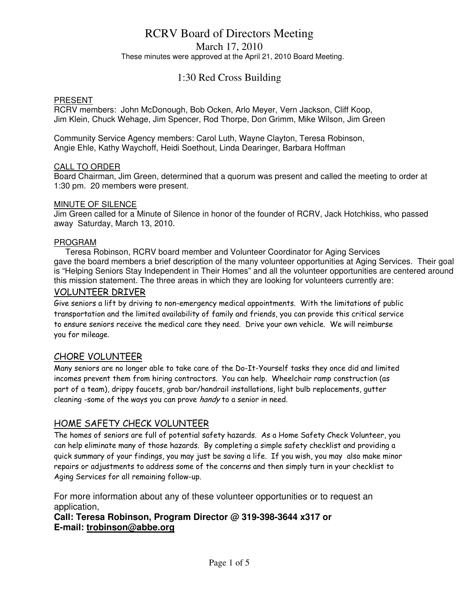## RCRV Board of Directors Meeting March 17, 2010 These minutes were approved at the April 21, 2010 Board Meeting.

## 1:30 Red Cross Building

#### PRESENT

RCRV members: John McDonough, Bob Ocken, Arlo Meyer, Vern Jackson, Cliff Koop, Jim Klein, Chuck Wehage, Jim Spencer, Rod Thorpe, Don Grimm, Mike Wilson, Jim Green

Community Service Agency members: Carol Luth, Wayne Clayton, Teresa Robinson, Angie Ehle, Kathy Waychoff, Heidi Soethout, Linda Dearinger, Barbara Hoffman

#### CALL TO ORDER

Board Chairman, Jim Green, determined that a quorum was present and called the meeting to order at 1:30 pm. 20 members were present.

#### MINUTE OF SILENCE

Jim Green called for a Minute of Silence in honor of the founder of RCRV, Jack Hotchkiss, who passed away Saturday, March 13, 2010.

#### PROGRAM

 Teresa Robinson, RCRV board member and Volunteer Coordinator for Aging Services gave the board members a brief description of the many volunteer opportunities at Aging Services. Their goal is "Helping Seniors Stay Independent in Their Homes" and all the volunteer opportunities are centered around this mission statement. The three areas in which they are looking for volunteers currently are:

#### VOLUNTEER DRIVER

Give seniors a lift by driving to non-emergency medical appointments. With the limitations of public transportation and the limited availability of family and friends, you can provide this critical service to ensure seniors receive the medical care they need. Drive your own vehicle. We will reimburse you for mileage.

#### CHORE VOLUNTEER

Many seniors are no longer able to take care of the Do-It-Yourself tasks they once did and limited incomes prevent them from hiring contractors. You can help. Wheelchair ramp construction (as part of a team), drippy faucets, grab bar/handrail installations, light bulb replacements, gutter cleaning -some of the ways you can prove handy to a senior in need.

#### HOME SAFETY CHECK VOLUNTEER

The homes of seniors are full of potential safety hazards. As a Home Safety Check Volunteer, you can help eliminate many of those hazards. By completing a simple safety checklist and providing a quick summary of your findings, you may just be saving a life. If you wish, you may also make minor repairs or adjustments to address some of the concerns and then simply turn in your checklist to Aging Services for all remaining follow-up.

For more information about any of these volunteer opportunities or to request an application,

#### **Call: Teresa Robinson, Program Director @ 319-398-3644 x317 or E-mail: trobinson@abbe.org**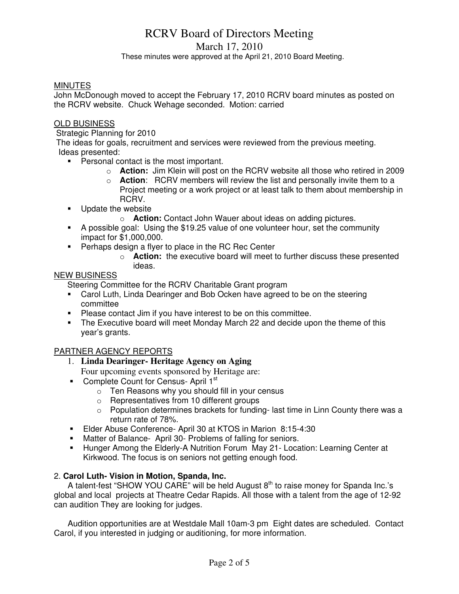# RCRV Board of Directors Meeting

March 17, 2010

These minutes were approved at the April 21, 2010 Board Meeting.

#### **MINUTES**

John McDonough moved to accept the February 17, 2010 RCRV board minutes as posted on the RCRV website. Chuck Wehage seconded. Motion: carried

#### OLD BUSINESS

Strategic Planning for 2010

 The ideas for goals, recruitment and services were reviewed from the previous meeting. Ideas presented:

- **Personal contact is the most important.** 
	- o **Action:** Jim Klein will post on the RCRV website all those who retired in 2009
	- o **Action**: RCRV members will review the list and personally invite them to a Project meeting or a work project or at least talk to them about membership in RCRV.
- **Update the website** 
	- o **Action:** Contact John Wauer about ideas on adding pictures.
- A possible goal: Using the \$19.25 value of one volunteer hour, set the community impact for \$1,000,000.
- **Perhaps design a flyer to place in the RC Rec Center** 
	- o **Action:** the executive board will meet to further discuss these presented ideas.

#### NEW BUSINESS

Steering Committee for the RCRV Charitable Grant program

- Carol Luth, Linda Dearinger and Bob Ocken have agreed to be on the steering committee
- **Please contact Jim if you have interest to be on this committee.**
- The Executive board will meet Monday March 22 and decide upon the theme of this year's grants.

#### PARTNER AGENCY REPORTS

1. **Linda Dearinger- Heritage Agency on Aging** 

Four upcoming events sponsored by Heritage are:

- Complete Count for Census- April 1<sup>st</sup>
	- o Ten Reasons why you should fill in your census
	- Representatives from 10 different groups
	- $\circ$  Population determines brackets for funding-last time in Linn County there was a return rate of 78%.
- Elder Abuse Conference- April 30 at KTOS in Marion 8:15-4:30
- Matter of Balance- April 30- Problems of falling for seniors.
- Hunger Among the Elderly-A Nutrition Forum May 21- Location: Learning Center at Kirkwood. The focus is on seniors not getting enough food.

#### 2. **Carol Luth- Vision in Motion, Spanda, Inc.**

A talent-fest "SHOW YOU CARE" will be held August  $8<sup>th</sup>$  to raise money for Spanda Inc.'s global and local projects at Theatre Cedar Rapids. All those with a talent from the age of 12-92 can audition They are looking for judges.

 Audition opportunities are at Westdale Mall 10am-3 pm Eight dates are scheduled. Contact Carol, if you interested in judging or auditioning, for more information.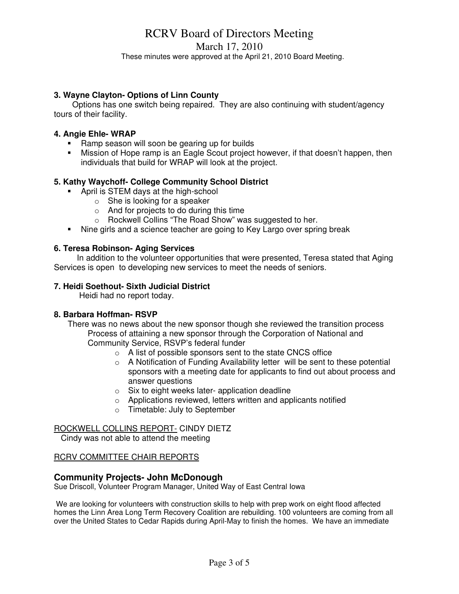# RCRV Board of Directors Meeting

March 17, 2010

These minutes were approved at the April 21, 2010 Board Meeting.

#### **3. Wayne Clayton- Options of Linn County**

 Options has one switch being repaired. They are also continuing with student/agency tours of their facility.

#### **4. Angie Ehle- WRAP**

- Ramp season will soon be gearing up for builds
- Mission of Hope ramp is an Eagle Scout project however, if that doesn't happen, then individuals that build for WRAP will look at the project.

#### **5. Kathy Waychoff- College Community School District**

- **April is STEM days at the high-school** 
	- $\circ$  She is looking for a speaker
	- o And for projects to do during this time
	- o Rockwell Collins "The Road Show" was suggested to her.
- Nine girls and a science teacher are going to Key Largo over spring break

#### **6. Teresa Robinson- Aging Services**

In addition to the volunteer opportunities that were presented, Teresa stated that Aging Services is open to developing new services to meet the needs of seniors.

#### **7. Heidi Soethout- Sixth Judicial District**

Heidi had no report today.

#### **8. Barbara Hoffman- RSVP**

 There was no news about the new sponsor though she reviewed the transition process Process of attaining a new sponsor through the Corporation of National and Community Service, RSVP's federal funder

- $\circ$  A list of possible sponsors sent to the state CNCS office
- o A Notification of Funding Availability letter will be sent to these potential sponsors with a meeting date for applicants to find out about process and answer questions
- o Six to eight weeks later- application deadline
- o Applications reviewed, letters written and applicants notified
- o Timetable: July to September

#### ROCKWELL COLLINS REPORT- CINDY DIETZ

Cindy was not able to attend the meeting

#### RCRV COMMITTEE CHAIR REPORTS

#### **Community Projects- John McDonough**

Sue Driscoll, Volunteer Program Manager, United Way of East Central Iowa

 We are looking for volunteers with construction skills to help with prep work on eight flood affected homes the Linn Area Long Term Recovery Coalition are rebuilding. 100 volunteers are coming from all over the United States to Cedar Rapids during April-May to finish the homes. We have an immediate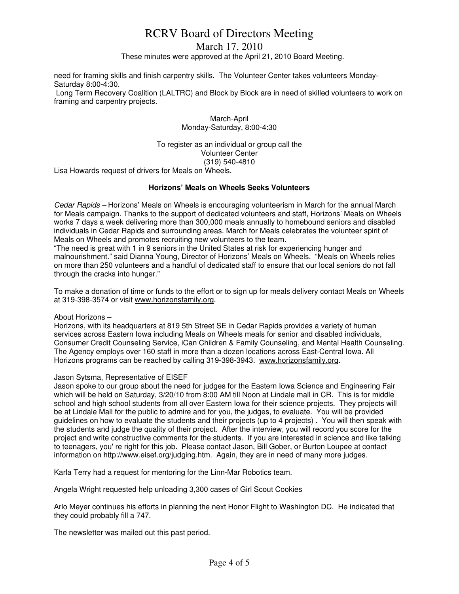# RCRV Board of Directors Meeting

March 17, 2010

These minutes were approved at the April 21, 2010 Board Meeting.

need for framing skills and finish carpentry skills. The Volunteer Center takes volunteers Monday-Saturday 8:00-4:30.

 Long Term Recovery Coalition (LALTRC) and Block by Block are in need of skilled volunteers to work on framing and carpentry projects.

> March-April Monday-Saturday, 8:00-4:30

To register as an individual or group call the Volunteer Center (319) 540-4810

Lisa Howards request of drivers for Meals on Wheels.

#### **Horizons' Meals on Wheels Seeks Volunteers**

Cedar Rapids – Horizons' Meals on Wheels is encouraging volunteerism in March for the annual March for Meals campaign. Thanks to the support of dedicated volunteers and staff, Horizons' Meals on Wheels works 7 days a week delivering more than 300,000 meals annually to homebound seniors and disabled individuals in Cedar Rapids and surrounding areas. March for Meals celebrates the volunteer spirit of Meals on Wheels and promotes recruiting new volunteers to the team.

"The need is great with 1 in 9 seniors in the United States at risk for experiencing hunger and malnourishment." said Dianna Young, Director of Horizons' Meals on Wheels. "Meals on Wheels relies on more than 250 volunteers and a handful of dedicated staff to ensure that our local seniors do not fall through the cracks into hunger."

To make a donation of time or funds to the effort or to sign up for meals delivery contact Meals on Wheels at 319-398-3574 or visit www.horizonsfamily.org.

#### About Horizons –

Horizons, with its headquarters at 819 5th Street SE in Cedar Rapids provides a variety of human services across Eastern Iowa including Meals on Wheels meals for senior and disabled individuals, Consumer Credit Counseling Service, iCan Children & Family Counseling, and Mental Health Counseling. The Agency employs over 160 staff in more than a dozen locations across East-Central Iowa. All Horizons programs can be reached by calling 319-398-3943. www.horizonsfamily.org.

#### Jason Sytsma, Representative of EISEF

Jason spoke to our group about the need for judges for the Eastern Iowa Science and Engineering Fair which will be held on Saturday, 3/20/10 from 8:00 AM till Noon at Lindale mall in CR. This is for middle school and high school students from all over Eastern Iowa for their science projects. They projects will be at Lindale Mall for the public to admire and for you, the judges, to evaluate. You will be provided guidelines on how to evaluate the students and their projects (up to 4 projects) . You will then speak with the students and judge the quality of their project. After the interview, you will record you score for the project and write constructive comments for the students. If you are interested in science and like talking to teenagers, you' re right for this job. Please contact Jason, Bill Gober, or Burton Loupee at contact information on http://www.eisef.org/judging.htm. Again, they are in need of many more judges.

Karla Terry had a request for mentoring for the Linn-Mar Robotics team.

Angela Wright requested help unloading 3,300 cases of Girl Scout Cookies

Arlo Meyer continues his efforts in planning the next Honor Flight to Washington DC. He indicated that they could probably fill a 747.

The newsletter was mailed out this past period.